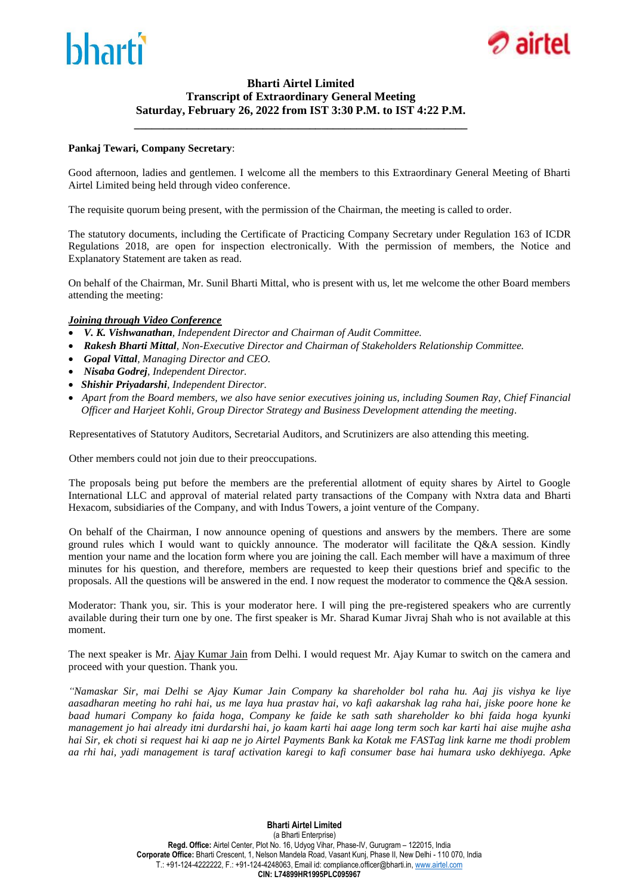



### **Bharti Airtel Limited Transcript of Extraordinary General Meeting Saturday, February 26, 2022 from IST 3:30 P.M. to IST 4:22 P.M.**

**\_\_\_\_\_\_\_\_\_\_\_\_\_\_\_\_\_\_\_\_\_\_\_\_\_\_\_\_\_\_\_\_\_\_\_\_\_\_\_\_\_\_\_\_\_\_\_\_\_\_\_\_\_\_\_\_\_**

### **Pankaj Tewari, Company Secretary**:

Good afternoon, ladies and gentlemen. I welcome all the members to this Extraordinary General Meeting of Bharti Airtel Limited being held through video conference.

The requisite quorum being present, with the permission of the Chairman, the meeting is called to order.

The statutory documents, including the Certificate of Practicing Company Secretary under Regulation 163 of ICDR Regulations 2018, are open for inspection electronically. With the permission of members, the Notice and Explanatory Statement are taken as read.

On behalf of the Chairman, Mr. Sunil Bharti Mittal, who is present with us, let me welcome the other Board members attending the meeting:

### *Joining through Video Conference*

- *V. K. Vishwanathan, Independent Director and Chairman of Audit Committee.*
- *Rakesh Bharti Mittal, Non-Executive Director and Chairman of Stakeholders Relationship Committee.*
- *Gopal Vittal, Managing Director and CEO.*
- *Nisaba Godrej, Independent Director.*
- *Shishir Priyadarshi, Independent Director.*
- *Apart from the Board members, we also have senior executives joining us, including Soumen Ray, Chief Financial Officer and Harjeet Kohli, Group Director Strategy and Business Development attending the meeting*.

Representatives of Statutory Auditors, Secretarial Auditors, and Scrutinizers are also attending this meeting.

Other members could not join due to their preoccupations.

 The proposals being put before the members are the preferential allotment of equity shares by Airtel to Google International LLC and approval of material related party transactions of the Company with Nxtra data and Bharti Hexacom, subsidiaries of the Company, and with Indus Towers, a joint venture of the Company.

 On behalf of the Chairman, I now announce opening of questions and answers by the members. There are some ground rules which I would want to quickly announce. The moderator will facilitate the Q&A session. Kindly mention your name and the location form where you are joining the call. Each member will have a maximum of three minutes for his question, and therefore, members are requested to keep their questions brief and specific to the proposals. All the questions will be answered in the end. I now request the moderator to commence the Q&A session.

Moderator: Thank you, sir. This is your moderator here. I will ping the pre-registered speakers who are currently available during their turn one by one. The first speaker is Mr. Sharad Kumar Jivraj Shah who is not available at this moment.

The next speaker is Mr. Ajay Kumar Jain from Delhi. I would request Mr. Ajay Kumar to switch on the camera and proceed with your question. Thank you.

*"Namaskar Sir, mai Delhi se Ajay Kumar Jain Company ka shareholder bol raha hu. Aaj jis vishya ke liye aasadharan meeting ho rahi hai, us me laya hua prastav hai, vo kafi aakarshak lag raha hai, jiske poore hone ke baad humari Company ko faida hoga, Company ke faide ke sath sath shareholder ko bhi faida hoga kyunki management jo hai already itni durdarshi hai, jo kaam karti hai aage long term soch kar karti hai aise mujhe asha hai Sir, ek choti si request hai ki aap ne jo Airtel Payments Bank ka Kotak me FASTag link karne me thodi problem aa rhi hai, yadi management is taraf activation karegi to kafi consumer base hai humara usko dekhiyega. Apke*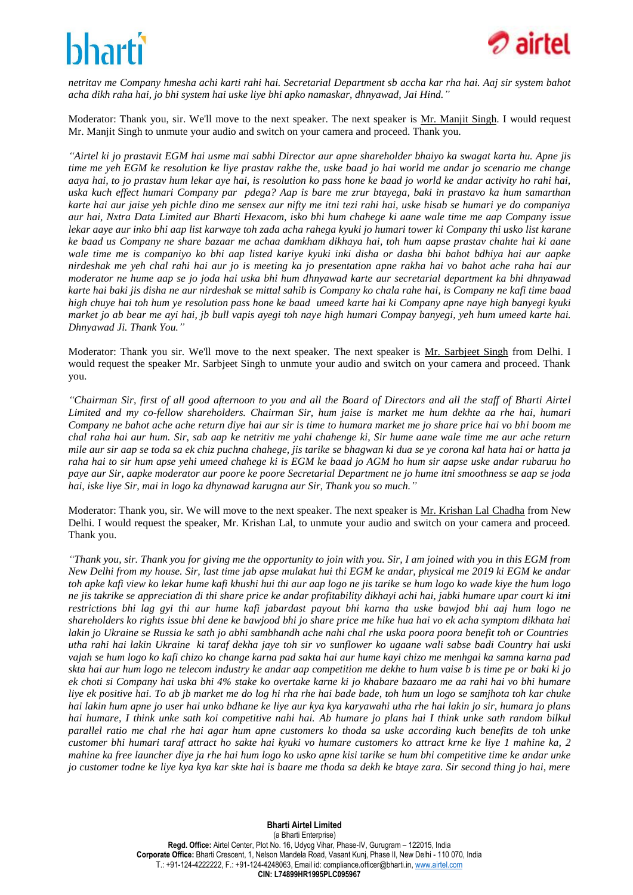

*netritav me Company hmesha achi karti rahi hai. Secretarial Department sb accha kar rha hai. Aaj sir system bahot acha dikh raha hai, jo bhi system hai uske liye bhi apko namaskar, dhnyawad, Jai Hind."*

Moderator: Thank you, sir. We'll move to the next speaker. The next speaker is Mr. Manjit Singh. I would request Mr. Manjit Singh to unmute your audio and switch on your camera and proceed. Thank you.

*"Airtel ki jo prastavit EGM hai usme mai sabhi Director aur apne shareholder bhaiyo ka swagat karta hu. Apne jis time me yeh EGM ke resolution ke liye prastav rakhe the, uske baad jo hai world me andar jo scenario me change aaya hai, to jo prastav hum lekar aye hai, is resolution ko pass hone ke baad jo world ke andar activity ho rahi hai, uska kuch effect humari Company par pdega? Aap is bare me zrur btayega, baki in prastavo ka hum samarthan karte hai aur jaise yeh pichle dino me sensex aur nifty me itni tezi rahi hai, uske hisab se humari ye do companiya aur hai, Nxtra Data Limited aur Bharti Hexacom, isko bhi hum chahege ki aane wale time me aap Company issue lekar aaye aur inko bhi aap list karwaye toh zada acha rahega kyuki jo humari tower ki Company thi usko list karane ke baad us Company ne share bazaar me achaa damkham dikhaya hai, toh hum aapse prastav chahte hai ki aane wale time me is companiyo ko bhi aap listed kariye kyuki inki disha or dasha bhi bahot bdhiya hai aur aapke nirdeshak me yeh chal rahi hai aur jo is meeting ka jo presentation apne rakha hai vo bahot ache raha hai aur moderator ne hume aap se jo joda hai uska bhi hum dhnyawad karte aur secretarial department ka bhi dhnyawad karte hai baki jis disha ne aur nirdeshak se mittal sahib is Company ko chala rahe hai, is Company ne kafi time baad high chuye hai toh hum ye resolution pass hone ke baad umeed karte hai ki Company apne naye high banyegi kyuki market jo ab bear me ayi hai, jb bull vapis ayegi toh naye high humari Compay banyegi, yeh hum umeed karte hai. Dhnyawad Ji. Thank You."*

Moderator: Thank you sir. We'll move to the next speaker. The next speaker is Mr. Sarbjeet Singh from Delhi. I would request the speaker Mr. Sarbjeet Singh to unmute your audio and switch on your camera and proceed. Thank you.

*"Chairman Sir, first of all good afternoon to you and all the Board of Directors and all the staff of Bharti Airtel Limited and my co-fellow shareholders. Chairman Sir, hum jaise is market me hum dekhte aa rhe hai, humari Company ne bahot ache ache return diye hai aur sir is time to humara market me jo share price hai vo bhi boom me chal raha hai aur hum. Sir, sab aap ke netritiv me yahi chahenge ki, Sir hume aane wale time me aur ache return mile aur sir aap se toda sa ek chiz puchna chahege, jis tarike se bhagwan ki dua se ye corona kal hata hai or hatta ja raha hai to sir hum apse yehi umeed chahege ki is EGM ke baad jo AGM ho hum sir aapse uske andar rubaruu ho paye aur Sir, aapke moderator aur poore ke poore Secretarial Department ne jo hume itni smoothness se aap se joda hai, iske liye Sir, mai in logo ka dhynawad karugna aur Sir, Thank you so much."*

Moderator: Thank you, sir. We will move to the next speaker. The next speaker is Mr. Krishan Lal Chadha from New Delhi. I would request the speaker, Mr. Krishan Lal, to unmute your audio and switch on your camera and proceed. Thank you.

*"Thank you, sir. Thank you for giving me the opportunity to join with you. Sir, I am joined with you in this EGM from New Delhi from my house. Sir, last time jab apse mulakat hui thi EGM ke andar, physical me 2019 ki EGM ke andar toh apke kafi view ko lekar hume kafi khushi hui thi aur aap logo ne jis tarike se hum logo ko wade kiye the hum logo ne jis takrike se appreciation di thi share price ke andar profitability dikhayi achi hai, jabki humare upar court ki itni restrictions bhi lag gyi thi aur hume kafi jabardast payout bhi karna tha uske bawjod bhi aaj hum logo ne shareholders ko rights issue bhi dene ke bawjood bhi jo share price me hike hua hai vo ek acha symptom dikhata hai lakin jo Ukraine se Russia ke sath jo abhi sambhandh ache nahi chal rhe uska poora poora benefit toh or Countries utha rahi hai lakin Ukraine ki taraf dekha jaye toh sir vo sunflower ko ugaane wali sabse badi Country hai uski vajah se hum logo ko kafi chizo ko change karna pad sakta hai aur hume kayi chizo me menhgai ka samna karna pad skta hai aur hum logo ne telecom industry ke andar aap competition me dekhe to hum vaise b is time pe or baki ki jo ek choti si Company hai uska bhi 4% stake ko overtake karne ki jo khabare bazaaro me aa rahi hai vo bhi humare liye ek positive hai. To ab jb market me do log hi rha rhe hai bade bade, toh hum un logo se samjhota toh kar chuke hai lakin hum apne jo user hai unko bdhane ke liye aur kya kya karyawahi utha rhe hai lakin jo sir, humara jo plans hai humare, I think unke sath koi competitive nahi hai. Ab humare jo plans hai I think unke sath random bilkul parallel ratio me chal rhe hai agar hum apne customers ko thoda sa uske according kuch benefits de toh unke customer bhi humari taraf attract ho sakte hai kyuki vo humare customers ko attract krne ke liye 1 mahine ka, 2 mahine ka free launcher diye ja rhe hai hum logo ko usko apne kisi tarike se hum bhi competitive time ke andar unke jo customer todne ke liye kya kya kar skte hai is baare me thoda sa dekh ke btaye zara. Sir second thing jo hai, mere*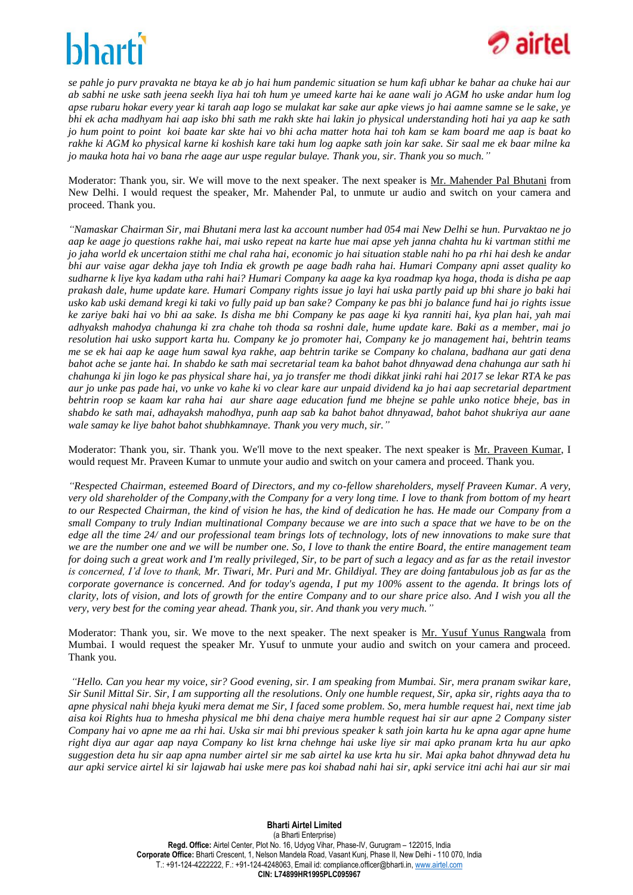

*se pahle jo purv pravakta ne btaya ke ab jo hai hum pandemic situation se hum kafi ubhar ke bahar aa chuke hai aur ab sabhi ne uske sath jeena seekh liya hai toh hum ye umeed karte hai ke aane wali jo AGM ho uske andar hum log apse rubaru hokar every year ki tarah aap logo se mulakat kar sake aur apke views jo hai aamne samne se le sake, ye bhi ek acha madhyam hai aap isko bhi sath me rakh skte hai lakin jo physical understanding hoti hai ya aap ke sath jo hum point to point koi baate kar skte hai vo bhi acha matter hota hai toh kam se kam board me aap is baat ko rakhe ki AGM ko physical karne ki koshish kare taki hum log aapke sath join kar sake. Sir saal me ek baar milne ka jo mauka hota hai vo bana rhe aage aur uspe regular bulaye. Thank you, sir. Thank you so much."*

Moderator: Thank you, sir. We will move to the next speaker. The next speaker is Mr. Mahender Pal Bhutani from New Delhi. I would request the speaker, Mr. Mahender Pal, to unmute ur audio and switch on your camera and proceed. Thank you.

*"Namaskar Chairman Sir, mai Bhutani mera last ka account number had 054 mai New Delhi se hun. Purvaktao ne jo aap ke aage jo questions rakhe hai, mai usko repeat na karte hue mai apse yeh janna chahta hu ki vartman stithi me jo jaha world ek uncertaion stithi me chal raha hai, economic jo hai situation stable nahi ho pa rhi hai desh ke andar bhi aur vaise agar dekha jaye toh India ek growth pe aage badh raha hai. Humari Company apni asset quality ko sudharne k liye kya kadam utha rahi hai? Humari Company ka aage ka kya roadmap kya hoga, thoda is disha pe aap prakash dale, hume update kare. Humari Company rights issue jo layi hai uska partly paid up bhi share jo baki hai usko kab uski demand kregi ki taki vo fully paid up ban sake? Company ke pas bhi jo balance fund hai jo rights issue ke zariye baki hai vo bhi aa sake. Is disha me bhi Company ke pas aage ki kya ranniti hai, kya plan hai, yah mai adhyaksh mahodya chahunga ki zra chahe toh thoda sa roshni dale, hume update kare. Baki as a member, mai jo resolution hai usko support karta hu. Company ke jo promoter hai, Company ke jo management hai, behtrin teams me se ek hai aap ke aage hum sawal kya rakhe, aap behtrin tarike se Company ko chalana, badhana aur gati dena bahot ache se jante hai. In shabdo ke sath mai secretarial team ka bahot bahot dhnyawad dena chahunga aur sath hi chahunga ki jin logo ke pas physical share hai, ya jo transfer me thodi dikkat jinki rahi hai 2017 se lekar RTA ke pas aur jo unke pas pade hai, vo unke vo kahe ki vo clear kare aur unpaid dividend ka jo hai aap secretarial department behtrin roop se kaam kar raha hai aur share aage education fund me bhejne se pahle unko notice bheje, bas in shabdo ke sath mai, adhayaksh mahodhya, punh aap sab ka bahot bahot dhnyawad, bahot bahot shukriya aur aane wale samay ke liye bahot bahot shubhkamnaye. Thank you very much, sir."*

Moderator: Thank you, sir. Thank you. We'll move to the next speaker. The next speaker is Mr. Praveen Kumar, I would request Mr. Praveen Kumar to unmute your audio and switch on your camera and proceed. Thank you.

*"Respected Chairman, esteemed Board of Directors, and my co-fellow shareholders, myself Praveen Kumar. A very, very old shareholder of the Company,with the Company for a very long time. I love to thank from bottom of my heart to our Respected Chairman, the kind of vision he has, the kind of dedication he has. He made our Company from a small Company to truly Indian multinational Company because we are into such a space that we have to be on the edge all the time 24/ and our professional team brings lots of technology, lots of new innovations to make sure that we are the number one and we will be number one. So, I love to thank the entire Board, the entire management team for doing such a great work and I'm really privileged, Sir, to be part of such a legacy and as far as the retail investor is concerned, I'd love to thank, Mr. Tiwari, Mr. Puri and Mr. Ghildiyal. They are doing fantabulous job as far as the corporate governance is concerned. And for today's agenda, I put my 100% assent to the agenda. It brings lots of clarity, lots of vision, and lots of growth for the entire Company and to our share price also. And I wish you all the very, very best for the coming year ahead. Thank you, sir. And thank you very much."*

Moderator: Thank you, sir. We move to the next speaker. The next speaker is Mr. Yusuf Yunus Rangwala from Mumbai. I would request the speaker Mr. Yusuf to unmute your audio and switch on your camera and proceed. Thank you.

*"Hello. Can you hear my voice, sir? Good evening, sir. I am speaking from Mumbai. Sir, mera pranam swikar kare, Sir Sunil Mittal Sir. Sir, I am supporting all the resolutions. Only one humble request, Sir, apka sir, rights aaya tha to apne physical nahi bheja kyuki mera demat me Sir, I faced some problem. So, mera humble request hai, next time jab aisa koi Rights hua to hmesha physical me bhi dena chaiye mera humble request hai sir aur apne 2 Company sister Company hai vo apne me aa rhi hai. Uska sir mai bhi previous speaker k sath join karta hu ke apna agar apne hume right diya aur agar aap naya Company ko list krna chehnge hai uske liye sir mai apko pranam krta hu aur apko suggestion deta hu sir aap apna number airtel sir me sab airtel ka use krta hu sir. Mai apka bahot dhnywad deta hu aur apki service airtel ki sir lajawab hai uske mere pas koi shabad nahi hai sir, apki service itni achi hai aur sir mai*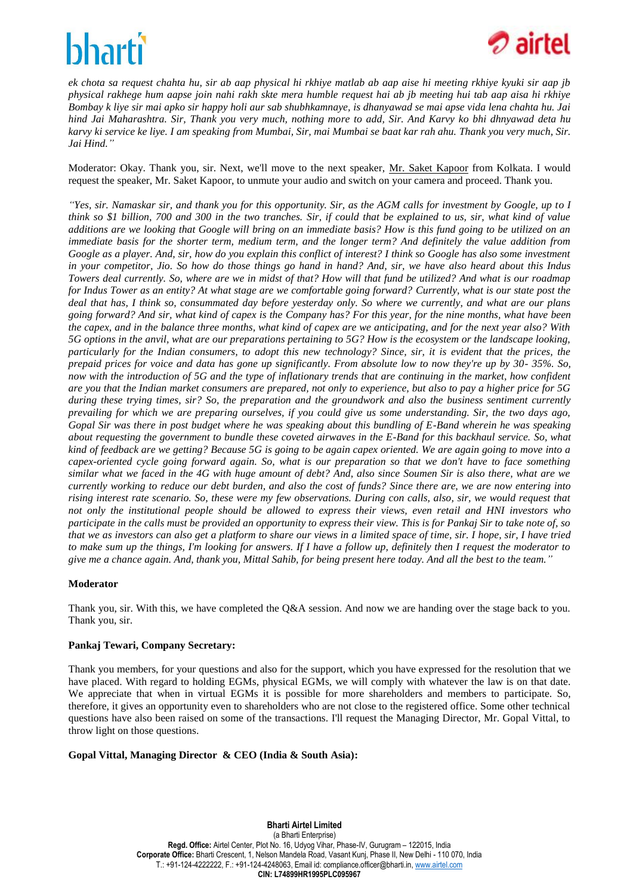

*ek chota sa request chahta hu, sir ab aap physical hi rkhiye matlab ab aap aise hi meeting rkhiye kyuki sir aap jb physical rakhege hum aapse join nahi rakh skte mera humble request hai ab jb meeting hui tab aap aisa hi rkhiye Bombay k liye sir mai apko sir happy holi aur sab shubhkamnaye, is dhanyawad se mai apse vida lena chahta hu. Jai hind Jai Maharashtra. Sir, Thank you very much, nothing more to add, Sir. And Karvy ko bhi dhnyawad deta hu karvy ki service ke liye. I am speaking from Mumbai, Sir, mai Mumbai se baat kar rah ahu. Thank you very much, Sir. Jai Hind."*

Moderator: Okay. Thank you, sir. Next, we'll move to the next speaker, Mr. Saket Kapoor from Kolkata. I would request the speaker, Mr. Saket Kapoor, to unmute your audio and switch on your camera and proceed. Thank you.

*"Yes, sir. Namaskar sir, and thank you for this opportunity. Sir, as the AGM calls for investment by Google, up to I think so \$1 billion, 700 and 300 in the two tranches. Sir, if could that be explained to us, sir, what kind of value additions are we looking that Google will bring on an immediate basis? How is this fund going to be utilized on an immediate basis for the shorter term, medium term, and the longer term? And definitely the value addition from Google as a player. And, sir, how do you explain this conflict of interest? I think so Google has also some investment in your competitor, Jio. So how do those things go hand in hand? And, sir, we have also heard about this Indus Towers deal currently. So, where are we in midst of that? How will that fund be utilized? And what is our roadmap for Indus Tower as an entity? At what stage are we comfortable going forward? Currently, what is our state post the deal that has, I think so, consummated day before yesterday only. So where we currently, and what are our plans going forward? And sir, what kind of capex is the Company has? For this year, for the nine months, what have been the capex, and in the balance three months, what kind of capex are we anticipating, and for the next year also? With 5G options in the anvil, what are our preparations pertaining to 5G? How is the ecosystem or the landscape looking, particularly for the Indian consumers, to adopt this new technology? Since, sir, it is evident that the prices, the prepaid prices for voice and data has gone up significantly. From absolute low to now they're up by 30- 35%. So, now with the introduction of 5G and the type of inflationary trends that are continuing in the market, how confident are you that the Indian market consumers are prepared, not only to experience, but also to pay a higher price for 5G during these trying times, sir? So, the preparation and the groundwork and also the business sentiment currently prevailing for which we are preparing ourselves, if you could give us some understanding. Sir, the two days ago, Gopal Sir was there in post budget where he was speaking about this bundling of E-Band wherein he was speaking about requesting the government to bundle these coveted airwaves in the E-Band for this backhaul service. So, what kind of feedback are we getting? Because 5G is going to be again capex oriented. We are again going to move into a capex-oriented cycle going forward again. So, what is our preparation so that we don't have to face something similar what we faced in the 4G with huge amount of debt? And, also since Soumen Sir is also there, what are we currently working to reduce our debt burden, and also the cost of funds? Since there are, we are now entering into rising interest rate scenario. So, these were my few observations. During con calls, also, sir, we would request that not only the institutional people should be allowed to express their views, even retail and HNI investors who participate in the calls must be provided an opportunity to express their view. This is for Pankaj Sir to take note of, so that we as investors can also get a platform to share our views in a limited space of time, sir. I hope, sir, I have tried to make sum up the things, I'm looking for answers. If I have a follow up, definitely then I request the moderator to give me a chance again. And, thank you, Mittal Sahib, for being present here today. And all the best to the team."*

#### **Moderator**

Thank you, sir. With this, we have completed the Q&A session. And now we are handing over the stage back to you. Thank you, sir.

#### **Pankaj Tewari, Company Secretary:**

Thank you members, for your questions and also for the support, which you have expressed for the resolution that we have placed. With regard to holding EGMs, physical EGMs, we will comply with whatever the law is on that date. We appreciate that when in virtual EGMs it is possible for more shareholders and members to participate. So, therefore, it gives an opportunity even to shareholders who are not close to the registered office. Some other technical questions have also been raised on some of the transactions. I'll request the Managing Director, Mr. Gopal Vittal, to throw light on those questions.

#### **Gopal Vittal, Managing Director & CEO (India & South Asia):**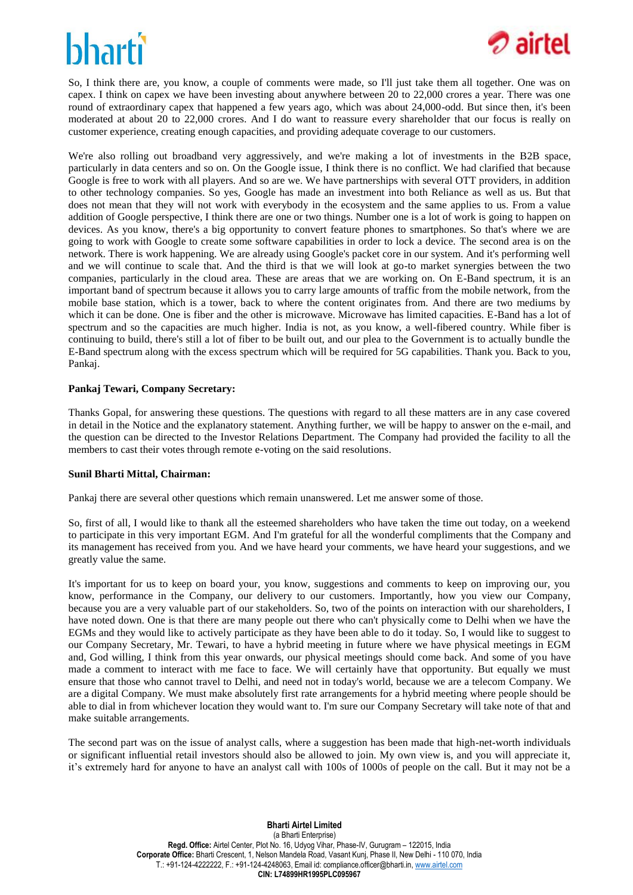# hhartî



So, I think there are, you know, a couple of comments were made, so I'll just take them all together. One was on capex. I think on capex we have been investing about anywhere between 20 to 22,000 crores a year. There was one round of extraordinary capex that happened a few years ago, which was about 24,000-odd. But since then, it's been moderated at about 20 to 22,000 crores. And I do want to reassure every shareholder that our focus is really on customer experience, creating enough capacities, and providing adequate coverage to our customers.

We're also rolling out broadband very aggressively, and we're making a lot of investments in the B2B space, particularly in data centers and so on. On the Google issue, I think there is no conflict. We had clarified that because Google is free to work with all players. And so are we. We have partnerships with several OTT providers, in addition to other technology companies. So yes, Google has made an investment into both Reliance as well as us. But that does not mean that they will not work with everybody in the ecosystem and the same applies to us. From a value addition of Google perspective, I think there are one or two things. Number one is a lot of work is going to happen on devices. As you know, there's a big opportunity to convert feature phones to smartphones. So that's where we are going to work with Google to create some software capabilities in order to lock a device. The second area is on the network. There is work happening. We are already using Google's packet core in our system. And it's performing well and we will continue to scale that. And the third is that we will look at go-to market synergies between the two companies, particularly in the cloud area. These are areas that we are working on. On E-Band spectrum, it is an important band of spectrum because it allows you to carry large amounts of traffic from the mobile network, from the mobile base station, which is a tower, back to where the content originates from. And there are two mediums by which it can be done. One is fiber and the other is microwave. Microwave has limited capacities. E-Band has a lot of spectrum and so the capacities are much higher. India is not, as you know, a well-fibered country. While fiber is continuing to build, there's still a lot of fiber to be built out, and our plea to the Government is to actually bundle the E-Band spectrum along with the excess spectrum which will be required for 5G capabilities. Thank you. Back to you, Pankaj.

### **Pankaj Tewari, Company Secretary:**

Thanks Gopal, for answering these questions. The questions with regard to all these matters are in any case covered in detail in the Notice and the explanatory statement. Anything further, we will be happy to answer on the e-mail, and the question can be directed to the Investor Relations Department. The Company had provided the facility to all the members to cast their votes through remote e-voting on the said resolutions.

#### **Sunil Bharti Mittal, Chairman:**

Pankaj there are several other questions which remain unanswered. Let me answer some of those.

So, first of all, I would like to thank all the esteemed shareholders who have taken the time out today, on a weekend to participate in this very important EGM. And I'm grateful for all the wonderful compliments that the Company and its management has received from you. And we have heard your comments, we have heard your suggestions, and we greatly value the same.

It's important for us to keep on board your, you know, suggestions and comments to keep on improving our, you know, performance in the Company, our delivery to our customers. Importantly, how you view our Company, because you are a very valuable part of our stakeholders. So, two of the points on interaction with our shareholders, I have noted down. One is that there are many people out there who can't physically come to Delhi when we have the EGMs and they would like to actively participate as they have been able to do it today. So, I would like to suggest to our Company Secretary, Mr. Tewari, to have a hybrid meeting in future where we have physical meetings in EGM and, God willing, I think from this year onwards, our physical meetings should come back. And some of you have made a comment to interact with me face to face. We will certainly have that opportunity. But equally we must ensure that those who cannot travel to Delhi, and need not in today's world, because we are a telecom Company. We are a digital Company. We must make absolutely first rate arrangements for a hybrid meeting where people should be able to dial in from whichever location they would want to. I'm sure our Company Secretary will take note of that and make suitable arrangements.

The second part was on the issue of analyst calls, where a suggestion has been made that high-net-worth individuals or significant influential retail investors should also be allowed to join. My own view is, and you will appreciate it, it's extremely hard for anyone to have an analyst call with 100s of 1000s of people on the call. But it may not be a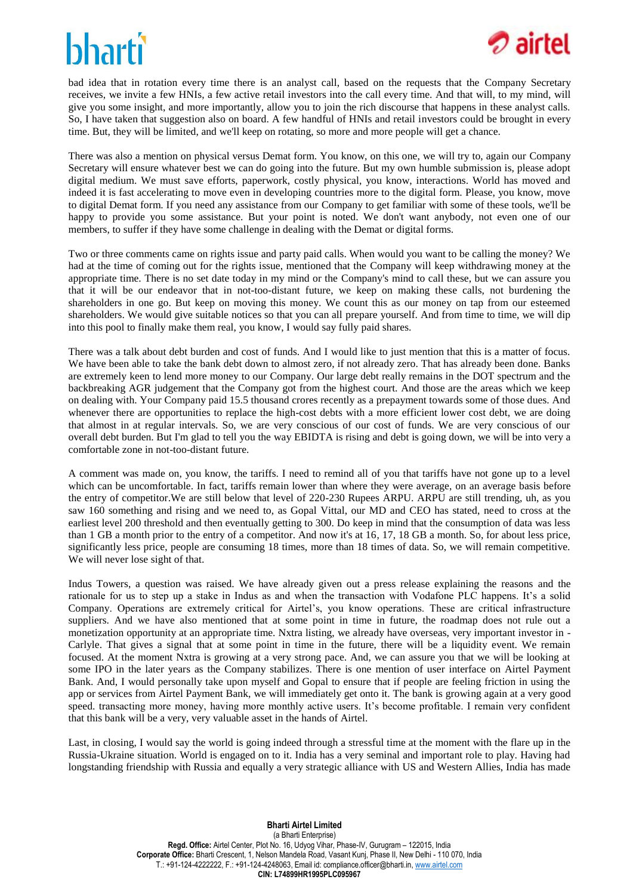

bad idea that in rotation every time there is an analyst call, based on the requests that the Company Secretary receives, we invite a few HNIs, a few active retail investors into the call every time. And that will, to my mind, will give you some insight, and more importantly, allow you to join the rich discourse that happens in these analyst calls. So, I have taken that suggestion also on board. A few handful of HNIs and retail investors could be brought in every time. But, they will be limited, and we'll keep on rotating, so more and more people will get a chance.

There was also a mention on physical versus Demat form. You know, on this one, we will try to, again our Company Secretary will ensure whatever best we can do going into the future. But my own humble submission is, please adopt digital medium. We must save efforts, paperwork, costly physical, you know, interactions. World has moved and indeed it is fast accelerating to move even in developing countries more to the digital form. Please, you know, move to digital Demat form. If you need any assistance from our Company to get familiar with some of these tools, we'll be happy to provide you some assistance. But your point is noted. We don't want anybody, not even one of our members, to suffer if they have some challenge in dealing with the Demat or digital forms.

Two or three comments came on rights issue and party paid calls. When would you want to be calling the money? We had at the time of coming out for the rights issue, mentioned that the Company will keep withdrawing money at the appropriate time. There is no set date today in my mind or the Company's mind to call these, but we can assure you that it will be our endeavor that in not-too-distant future, we keep on making these calls, not burdening the shareholders in one go. But keep on moving this money. We count this as our money on tap from our esteemed shareholders. We would give suitable notices so that you can all prepare yourself. And from time to time, we will dip into this pool to finally make them real, you know, I would say fully paid shares.

There was a talk about debt burden and cost of funds. And I would like to just mention that this is a matter of focus. We have been able to take the bank debt down to almost zero, if not already zero. That has already been done. Banks are extremely keen to lend more money to our Company. Our large debt really remains in the DOT spectrum and the backbreaking AGR judgement that the Company got from the highest court. And those are the areas which we keep on dealing with. Your Company paid 15.5 thousand crores recently as a prepayment towards some of those dues. And whenever there are opportunities to replace the high-cost debts with a more efficient lower cost debt, we are doing that almost in at regular intervals. So, we are very conscious of our cost of funds. We are very conscious of our overall debt burden. But I'm glad to tell you the way EBIDTA is rising and debt is going down, we will be into very a comfortable zone in not-too-distant future.

A comment was made on, you know, the tariffs. I need to remind all of you that tariffs have not gone up to a level which can be uncomfortable. In fact, tariffs remain lower than where they were average, on an average basis before the entry of competitor.We are still below that level of 220-230 Rupees ARPU. ARPU are still trending, uh, as you saw 160 something and rising and we need to, as Gopal Vittal, our MD and CEO has stated, need to cross at the earliest level 200 threshold and then eventually getting to 300. Do keep in mind that the consumption of data was less than 1 GB a month prior to the entry of a competitor. And now it's at 16, 17, 18 GB a month. So, for about less price, significantly less price, people are consuming 18 times, more than 18 times of data. So, we will remain competitive. We will never lose sight of that.

Indus Towers, a question was raised. We have already given out a press release explaining the reasons and the rationale for us to step up a stake in Indus as and when the transaction with Vodafone PLC happens. It's a solid Company. Operations are extremely critical for Airtel's, you know operations. These are critical infrastructure suppliers. And we have also mentioned that at some point in time in future, the roadmap does not rule out a monetization opportunity at an appropriate time. Nxtra listing, we already have overseas, very important investor in - Carlyle. That gives a signal that at some point in time in the future, there will be a liquidity event. We remain focused. At the moment Nxtra is growing at a very strong pace. And, we can assure you that we will be looking at some IPO in the later years as the Company stabilizes. There is one mention of user interface on Airtel Payment Bank. And, I would personally take upon myself and Gopal to ensure that if people are feeling friction in using the app or services from Airtel Payment Bank, we will immediately get onto it. The bank is growing again at a very good speed. transacting more money, having more monthly active users. It's become profitable. I remain very confident that this bank will be a very, very valuable asset in the hands of Airtel.

Last, in closing, I would say the world is going indeed through a stressful time at the moment with the flare up in the Russia-Ukraine situation. World is engaged on to it. India has a very seminal and important role to play. Having had longstanding friendship with Russia and equally a very strategic alliance with US and Western Allies, India has made